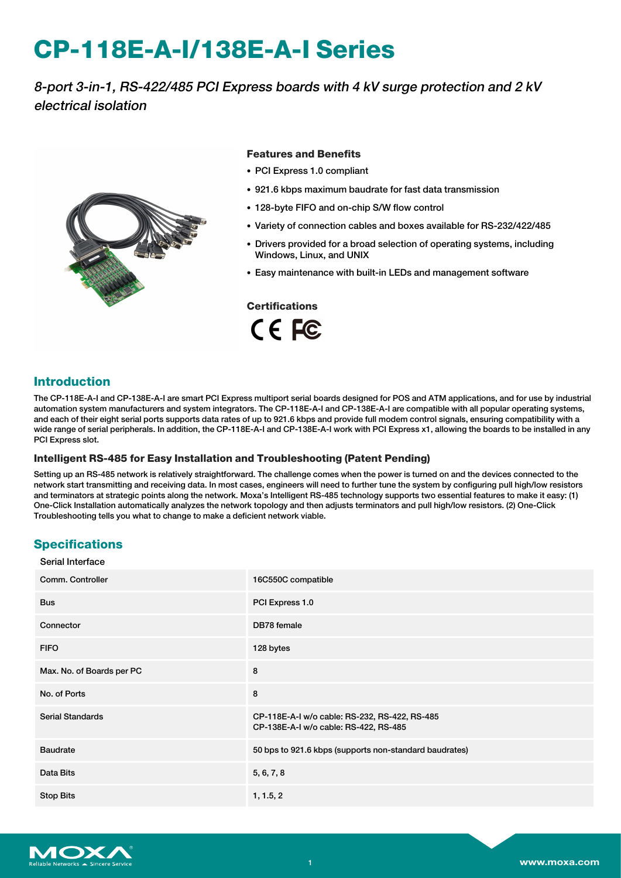# **CP-118E-A-I/138E-A-I Series**

# 8-port 3-in-1, RS-422/485 PCI Express boards with 4 kV surge protection and 2 kV electrical isolation



#### **Features and Benefits**

- PCI Express 1.0 compliant
- 921.6 kbps maximum baudrate for fast data transmission
- 128-byte FIFO and on-chip S/W flow control
- Variety of connection cables and boxes available for RS-232/422/485
- Drivers provided for a broad selection of operating systems, including Windows, Linux, and UNIX
- Easy maintenance with built-in LEDs and management software

**Certifications**

CE FC

## **Introduction**

The CP-118E-A-I and CP-138E-A-I are smart PCI Express multiport serial boards designed for POS and ATM applications, and for use by industrial automation system manufacturers and system integrators. The CP-118E-A-I and CP-138E-A-I are compatible with all popular operating systems, and each of their eight serial ports supports data rates of up to 921.6 kbps and provide full modem control signals, ensuring compatibility with a wide range of serial peripherals. In addition, the CP-118E-A-I and CP-138E-A-I work with PCI Express x1, allowing the boards to be installed in any PCI Express slot.

#### **Intelligent RS-485 for Easy Installation and Troubleshooting (Patent Pending)**

Setting up an RS-485 network is relatively straightforward. The challenge comes when the power is turned on and the devices connected to the network start transmitting and receiving data. In most cases, engineers will need to further tune the system by configuring pull high/low resistors and terminators at strategic points along the network. Moxa's Intelligent RS-485 technology supports two essential features to make it easy: (1) One-Click Installation automatically analyzes the network topology and then adjusts terminators and pull high/low resistors. (2) One-Click Troubleshooting tells you what to change to make a deficient network viable.

## **Specifications**

 $\sim$  serial interface

| Serial Interface          |                                                                                        |
|---------------------------|----------------------------------------------------------------------------------------|
| Comm. Controller          | 16C550C compatible                                                                     |
| <b>Bus</b>                | PCI Express 1.0                                                                        |
| Connector                 | DB78 female                                                                            |
| <b>FIFO</b>               | 128 bytes                                                                              |
| Max. No. of Boards per PC | 8                                                                                      |
| No. of Ports              | 8                                                                                      |
| <b>Serial Standards</b>   | CP-118E-A-I w/o cable: RS-232, RS-422, RS-485<br>CP-138E-A-I w/o cable: RS-422, RS-485 |
| <b>Baudrate</b>           | 50 bps to 921.6 kbps (supports non-standard baudrates)                                 |
| Data Bits                 | 5, 6, 7, 8                                                                             |
| <b>Stop Bits</b>          | 1, 1.5, 2                                                                              |

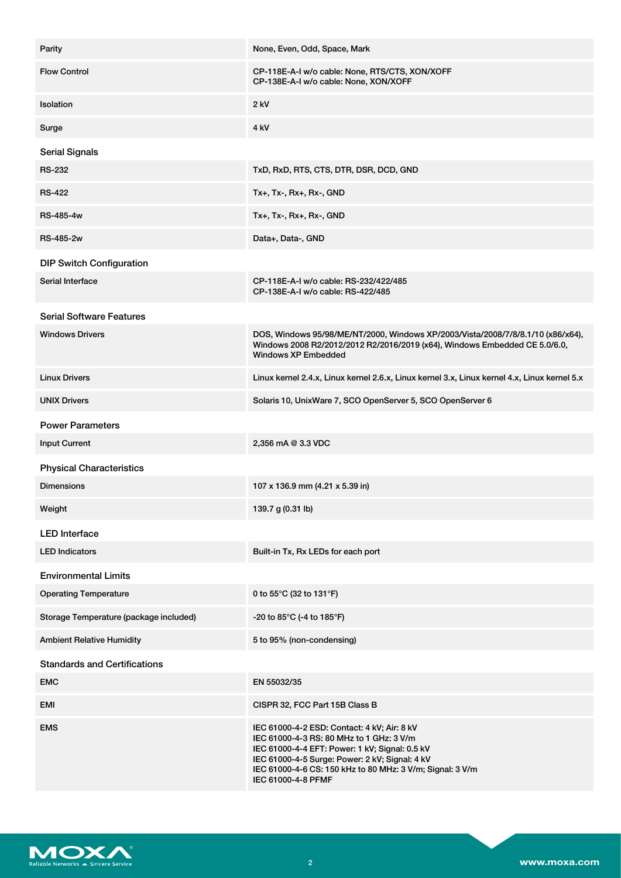| Parity                                 | None, Even, Odd, Space, Mark                                                                                                                                                                                                                                                   |
|----------------------------------------|--------------------------------------------------------------------------------------------------------------------------------------------------------------------------------------------------------------------------------------------------------------------------------|
| <b>Flow Control</b>                    | CP-118E-A-I w/o cable: None, RTS/CTS, XON/XOFF<br>CP-138E-A-I w/o cable: None, XON/XOFF                                                                                                                                                                                        |
| Isolation                              | 2 kV                                                                                                                                                                                                                                                                           |
| Surge                                  | 4 kV                                                                                                                                                                                                                                                                           |
| <b>Serial Signals</b>                  |                                                                                                                                                                                                                                                                                |
| <b>RS-232</b>                          | TxD, RxD, RTS, CTS, DTR, DSR, DCD, GND                                                                                                                                                                                                                                         |
| <b>RS-422</b>                          | $Tx+$ , $Tx-$ , $Rx+$ , $Rx-$ , $GND$                                                                                                                                                                                                                                          |
| <b>RS-485-4w</b>                       | $Tx+$ , $Tx-$ , $Rx+$ , $Rx-$ , $GND$                                                                                                                                                                                                                                          |
| <b>RS-485-2w</b>                       | Data+, Data-, GND                                                                                                                                                                                                                                                              |
| <b>DIP Switch Configuration</b>        |                                                                                                                                                                                                                                                                                |
| Serial Interface                       | CP-118E-A-I w/o cable: RS-232/422/485<br>CP-138E-A-I w/o cable: RS-422/485                                                                                                                                                                                                     |
| <b>Serial Software Features</b>        |                                                                                                                                                                                                                                                                                |
| <b>Windows Drivers</b>                 | DOS, Windows 95/98/ME/NT/2000, Windows XP/2003/Vista/2008/7/8/8.1/10 (x86/x64),<br>Windows 2008 R2/2012/2012 R2/2016/2019 (x64), Windows Embedded CE 5.0/6.0,<br><b>Windows XP Embedded</b>                                                                                    |
| <b>Linux Drivers</b>                   | Linux kernel 2.4.x, Linux kernel 2.6.x, Linux kernel 3.x, Linux kernel 4.x, Linux kernel 5.x                                                                                                                                                                                   |
| <b>UNIX Drivers</b>                    | Solaris 10, UnixWare 7, SCO OpenServer 5, SCO OpenServer 6                                                                                                                                                                                                                     |
| <b>Power Parameters</b>                |                                                                                                                                                                                                                                                                                |
| <b>Input Current</b>                   | 2,356 mA @ 3.3 VDC                                                                                                                                                                                                                                                             |
| <b>Physical Characteristics</b>        |                                                                                                                                                                                                                                                                                |
| <b>Dimensions</b>                      | 107 x 136.9 mm (4.21 x 5.39 in)                                                                                                                                                                                                                                                |
| Weight                                 | 139.7 g (0.31 lb)                                                                                                                                                                                                                                                              |
| <b>LED</b> Interface                   |                                                                                                                                                                                                                                                                                |
| <b>LED Indicators</b>                  | Built-in Tx, Rx LEDs for each port                                                                                                                                                                                                                                             |
| <b>Environmental Limits</b>            |                                                                                                                                                                                                                                                                                |
| <b>Operating Temperature</b>           | 0 to 55°C (32 to 131°F)                                                                                                                                                                                                                                                        |
| Storage Temperature (package included) | -20 to $85^{\circ}$ C (-4 to 185 $^{\circ}$ F)                                                                                                                                                                                                                                 |
| <b>Ambient Relative Humidity</b>       | 5 to 95% (non-condensing)                                                                                                                                                                                                                                                      |
| <b>Standards and Certifications</b>    |                                                                                                                                                                                                                                                                                |
| <b>EMC</b>                             | EN 55032/35                                                                                                                                                                                                                                                                    |
| EMI                                    | CISPR 32, FCC Part 15B Class B                                                                                                                                                                                                                                                 |
| <b>EMS</b>                             | IEC 61000-4-2 ESD: Contact: 4 kV; Air: 8 kV<br>IEC 61000-4-3 RS: 80 MHz to 1 GHz: 3 V/m<br>IEC 61000-4-4 EFT: Power: 1 kV; Signal: 0.5 kV<br>IEC 61000-4-5 Surge: Power: 2 kV; Signal: 4 kV<br>IEC 61000-4-6 CS: 150 kHz to 80 MHz: 3 V/m; Signal: 3 V/m<br>IEC 61000-4-8 PFMF |

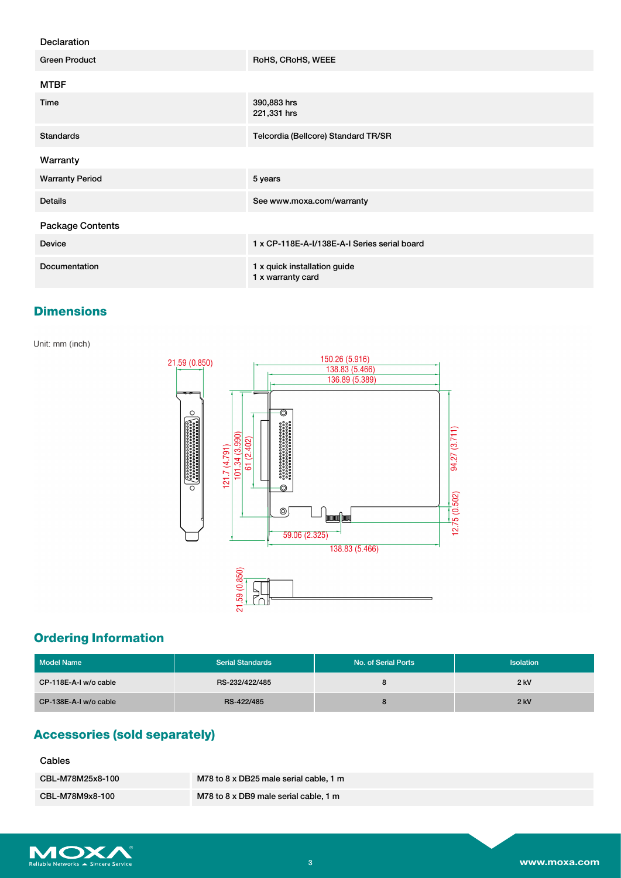#### Declaration

| <b>Green Product</b>   | RoHS, CRoHS, WEEE                                 |
|------------------------|---------------------------------------------------|
| <b>MTBF</b>            |                                                   |
| Time                   | 390,883 hrs<br>221,331 hrs                        |
| <b>Standards</b>       | Telcordia (Bellcore) Standard TR/SR               |
| Warranty               |                                                   |
| <b>Warranty Period</b> | 5 years                                           |
| <b>Details</b>         | See www.moxa.com/warranty                         |
| Package Contents       |                                                   |
| <b>Device</b>          | 1 x CP-118E-A-I/138E-A-I Series serial board      |
| <b>Documentation</b>   | 1 x quick installation guide<br>1 x warranty card |

## **Dimensions**

Unit: mm (inch)



# **Ordering Information**

| Model Name            | <b>Serial Standards</b> | No. of Serial Ports | <b>Isolation</b> |
|-----------------------|-------------------------|---------------------|------------------|
| CP-118E-A-I w/o cable | RS-232/422/485          | o                   | $2$ kV           |
| CP-138E-A-I w/o cable | RS-422/485              |                     | $2$ kV           |

## **Accessories (sold separately)**

### Cables

| CBL-M78M25x8-100 | M78 to 8 x DB25 male serial cable, 1 m |
|------------------|----------------------------------------|
| CBL-M78M9x8-100  | M78 to 8 x DB9 male serial cable, 1 m  |